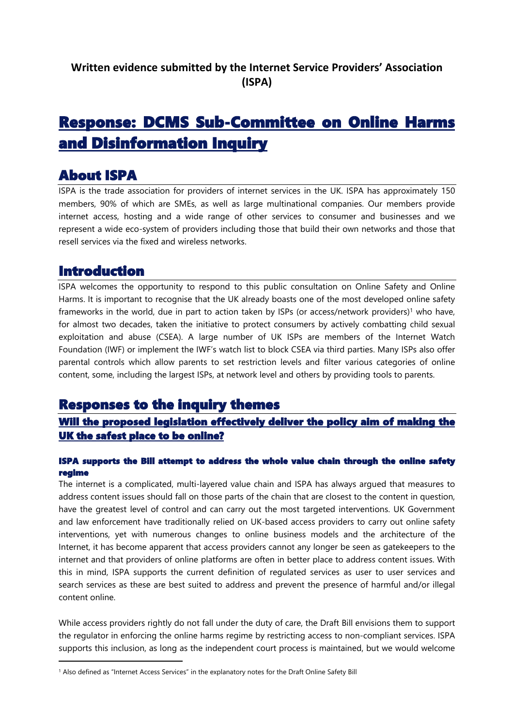# **Response: DCMS Sub-Committee on Online Harms and Disinformation Inquiry**

## **About ISPA**

ISPA is the trade association for providers of internet services in the UK. ISPA has approximately 150 members, 90% of which are SMEs, as well as large multinational companies. Our members provide internet access, hosting and a wide range of other services to consumer and businesses and we represent a wide eco-system of providers including those that build their own networks and those that resell services via the fixed and wireless networks.

## **Introduction**

ISPA welcomes the opportunity to respond to this public consultation on Online Safety and Online Harms. It is important to recognise that the UK already boasts one of the most developed online safety frameworks in the world, due in part to action taken by ISPs (or access/network providers)<sup>1</sup> who have, for almost two decades, taken the initiative to protect consumers by actively combatting child sexual exploitation and abuse (CSEA). A large number of UK ISPs are members of the Internet Watch Foundation (IWF) or implement the IWF's watch list to block CSEA via third parties. Many ISPs also offer parental controls which allow parents to set restriction levels and filter various categories of online content, some, including the largest ISPs, at network level and others by providing tools to parents.

## **Responses to the inquiry themes**

## **Will the proposed legislation effectively deliver the policy aim of making the UK the safest place to be online?**

#### **ISPA supports the Bill attempt to address the whole value chain through the online safety regime**

The internet is a complicated, multi-layered value chain and ISPA has always argued that measures to address content issues should fall on those parts of the chain that are closest to the content in question, have the greatest level of control and can carry out the most targeted interventions. UK Government and law enforcement have traditionally relied on UK-based access providers to carry out online safety interventions, yet with numerous changes to online business models and the architecture of the Internet, it has become apparent that access providers cannot any longer be seen as gatekeepers to the internet and that providers of online platforms are often in better place to address content issues. With this in mind, ISPA supports the current definition of regulated services as user to user services and search services as these are best suited to address and prevent the presence of harmful and/or illegal content online.

While access providers rightly do not fall under the duty of care, the Draft Bill envisions them to support the regulator in enforcing the online harms regime by restricting access to non-compliant services. ISPA supports this inclusion, as long as the independent court process is maintained, but we would welcome

<sup>1</sup> Also defined as "Internet Access Services" in the explanatory notes for the Draft Online Safety Bill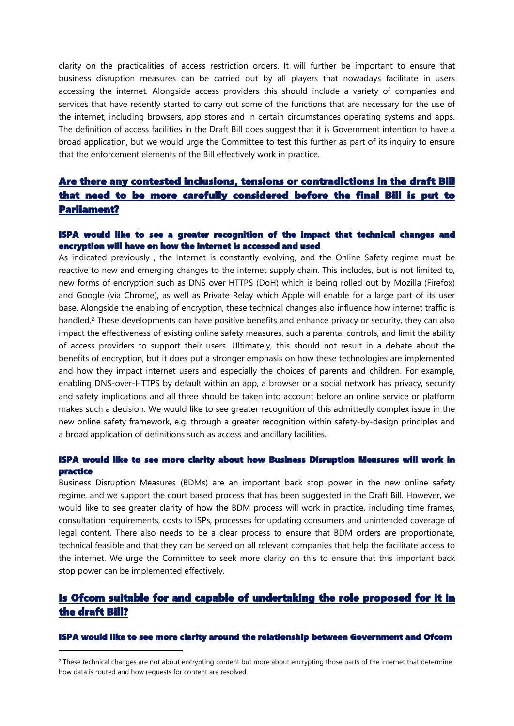clarity on the practicalities of access restriction orders. It will further be important to ensure that business disruption measures can be carried out by all players that nowadays facilitate in users accessing the internet. Alongside access providers this should include a variety of companies and services that have recently started to carry out some of the functions that are necessary for the use of the internet, including browsers, app stores and in certain circumstances operating systems and apps. The definition of access facilities in the Draft Bill does suggest that it is Government intention to have a broad application, but we would urge the Committee to test this further as part of its inquiry to ensure that the enforcement elements of the Bill effectively work in practice.

### **Are there any contested inclusions, tensions or contradictions in the draft Bill that need to be more carefully considered before the final Bill is put to Parliament?**

#### **ISPA would like to see a greater recognition of the impact that technical changes and encryption will have on how the internet is accessed and used**

As indicated previously , the Internet is constantly evolving, and the Online Safety regime must be reactive to new and emerging changes to the internet supply chain. This includes, but is not limited to, new forms of encryption such as DNS over HTTPS (DoH) which is being rolled out by Mozilla (Firefox) and Google (via Chrome), as well as Private Relay which Apple will enable for a large part of its user base. Alongside the enabling of encryption, these technical changes also influence how internet traffic is handled.<sup>2</sup> These developments can have positive benefits and enhance privacy or security, they can also impact the effectiveness of existing online safety measures, such a parental controls, and limit the ability of access providers to support their users. Ultimately, this should not result in a debate about the benefits of encryption, but it does put a stronger emphasis on how these technologies are implemented and how they impact internet users and especially the choices of parents and children. For example, enabling DNS-over-HTTPS by default within an app, a browser or a social network has privacy, security and safety implications and all three should be taken into account before an online service or platform makes such a decision. We would like to see greater recognition of this admittedly complex issue in the new online safety framework, e.g. through a greater recognition within safety-by-design principles and a broad application of definitions such as access and ancillary facilities.

#### **ISPA would like to see more clarity about how Business Disruption Measures will work in practice**

Business Disruption Measures (BDMs) are an important back stop power in the new online safety regime, and we support the court based process that has been suggested in the Draft Bill. However, we would like to see greater clarity of how the BDM process will work in practice, including time frames, consultation requirements, costs to ISPs, processes for updating consumers and unintended coverage of legal content. There also needs to be a clear process to ensure that BDM orders are proportionate, technical feasible and that they can be served on all relevant companies that help the facilitate access to the internet. We urge the Committee to seek more clarity on this to ensure that this important back stop power can be implemented effectively.

### **Is Ofcom suitable for and capable of undertaking the role proposed for it in the draft Bill?**

#### **ISPA would like to see more clarity around the relationship between Government and Ofcom**

<sup>2</sup> These technical changes are not about encrypting content but more about encrypting those parts of the internet that determine how data is routed and how requests for content are resolved.